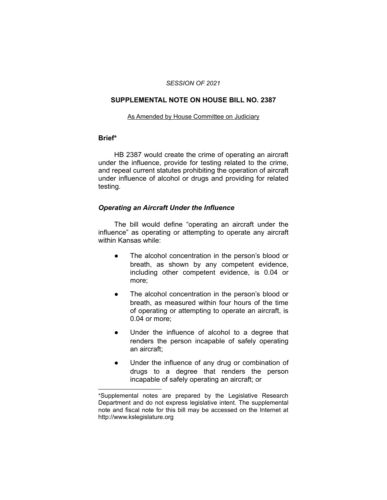#### *SESSION OF 2021*

### **SUPPLEMENTAL NOTE ON HOUSE BILL NO. 2387**

#### As Amended by House Committee on Judiciary

### **Brief\***

HB 2387 would create the crime of operating an aircraft under the influence, provide for testing related to the crime, and repeal current statutes prohibiting the operation of aircraft under influence of alcohol or drugs and providing for related testing.

### *Operating an Aircraft Under the Influence*

The bill would define "operating an aircraft under the influence" as operating or attempting to operate any aircraft within Kansas while:

- The alcohol concentration in the person's blood or breath, as shown by any competent evidence, including other competent evidence, is 0.04 or more;
- The alcohol concentration in the person's blood or breath, as measured within four hours of the time of operating or attempting to operate an aircraft, is 0.04 or more;
- Under the influence of alcohol to a degree that renders the person incapable of safely operating an aircraft;
- Under the influence of any drug or combination of drugs to a degree that renders the person incapable of safely operating an aircraft; or

 $\overline{\phantom{a}}$  , where  $\overline{\phantom{a}}$  , where  $\overline{\phantom{a}}$ 

<sup>\*</sup>Supplemental notes are prepared by the Legislative Research Department and do not express legislative intent. The supplemental note and fiscal note for this bill may be accessed on the Internet at http://www.kslegislature.org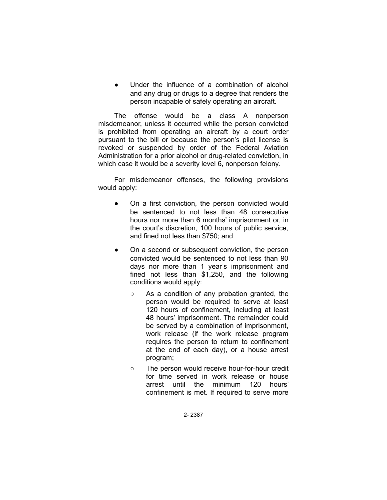Under the influence of a combination of alcohol and any drug or drugs to a degree that renders the person incapable of safely operating an aircraft.

The offense would be a class A nonperson misdemeanor, unless it occurred while the person convicted is prohibited from operating an aircraft by a court order pursuant to the bill or because the person's pilot license is revoked or suspended by order of the Federal Aviation Administration for a prior alcohol or drug-related conviction, in which case it would be a severity level 6, nonperson felony.

For misdemeanor offenses, the following provisions would apply:

- On a first conviction, the person convicted would be sentenced to not less than 48 consecutive hours nor more than 6 months' imprisonment or, in the court's discretion, 100 hours of public service, and fined not less than \$750; and
- On a second or subsequent conviction, the person convicted would be sentenced to not less than 90 days nor more than 1 year's imprisonment and fined not less than \$1,250, and the following conditions would apply:
	- As a condition of any probation granted, the person would be required to serve at least 120 hours of confinement, including at least 48 hours' imprisonment. The remainder could be served by a combination of imprisonment, work release (if the work release program requires the person to return to confinement at the end of each day), or a house arrest program;
	- The person would receive hour-for-hour credit for time served in work release or house arrest until the minimum 120 hours' confinement is met. If required to serve more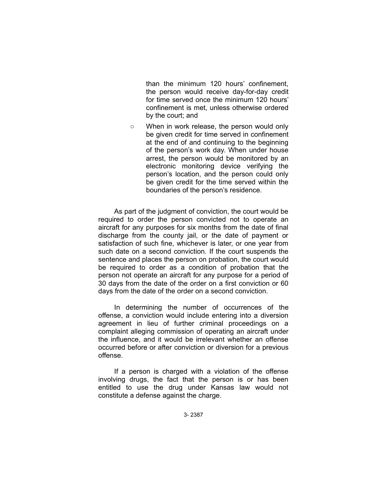than the minimum 120 hours' confinement, the person would receive day-for-day credit for time served once the minimum 120 hours' confinement is met, unless otherwise ordered by the court; and

○ When in work release, the person would only be given credit for time served in confinement at the end of and continuing to the beginning of the person's work day. When under house arrest, the person would be monitored by an electronic monitoring device verifying the person's location, and the person could only be given credit for the time served within the boundaries of the person's residence.

As part of the judgment of conviction, the court would be required to order the person convicted not to operate an aircraft for any purposes for six months from the date of final discharge from the county jail, or the date of payment or satisfaction of such fine, whichever is later, or one year from such date on a second conviction. If the court suspends the sentence and places the person on probation, the court would be required to order as a condition of probation that the person not operate an aircraft for any purpose for a period of 30 days from the date of the order on a first conviction or 60 days from the date of the order on a second conviction.

In determining the number of occurrences of the offense, a conviction would include entering into a diversion agreement in lieu of further criminal proceedings on a complaint alleging commission of operating an aircraft under the influence, and it would be irrelevant whether an offense occurred before or after conviction or diversion for a previous offense.

If a person is charged with a violation of the offense involving drugs, the fact that the person is or has been entitled to use the drug under Kansas law would not constitute a defense against the charge.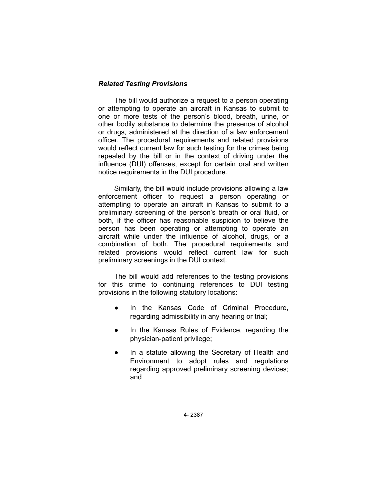## *Related Testing Provisions*

The bill would authorize a request to a person operating or attempting to operate an aircraft in Kansas to submit to one or more tests of the person's blood, breath, urine, or other bodily substance to determine the presence of alcohol or drugs, administered at the direction of a law enforcement officer. The procedural requirements and related provisions would reflect current law for such testing for the crimes being repealed by the bill or in the context of driving under the influence (DUI) offenses, except for certain oral and written notice requirements in the DUI procedure.

Similarly, the bill would include provisions allowing a law enforcement officer to request a person operating or attempting to operate an aircraft in Kansas to submit to a preliminary screening of the person's breath or oral fluid, or both, if the officer has reasonable suspicion to believe the person has been operating or attempting to operate an aircraft while under the influence of alcohol, drugs, or a combination of both. The procedural requirements and related provisions would reflect current law for such preliminary screenings in the DUI context.

The bill would add references to the testing provisions for this crime to continuing references to DUI testing provisions in the following statutory locations:

- In the Kansas Code of Criminal Procedure, regarding admissibility in any hearing or trial;
- In the Kansas Rules of Evidence, regarding the physician-patient privilege;
- In a statute allowing the Secretary of Health and Environment to adopt rules and regulations regarding approved preliminary screening devices; and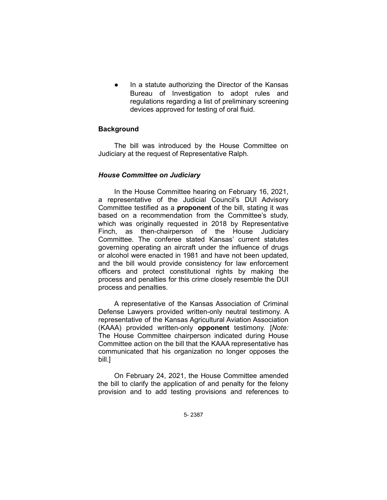In a statute authorizing the Director of the Kansas Bureau of Investigation to adopt rules and regulations regarding a list of preliminary screening devices approved for testing of oral fluid.

# **Background**

The bill was introduced by the House Committee on Judiciary at the request of Representative Ralph.

# *House Committee on Judiciary*

In the House Committee hearing on February 16, 2021, a representative of the Judicial Council's DUI Advisory Committee testified as a **proponent** of the bill, stating it was based on a recommendation from the Committee's study, which was originally requested in 2018 by Representative Finch, as then-chairperson of the House Judiciary Committee. The conferee stated Kansas' current statutes governing operating an aircraft under the influence of drugs or alcohol were enacted in 1981 and have not been updated, and the bill would provide consistency for law enforcement officers and protect constitutional rights by making the process and penalties for this crime closely resemble the DUI process and penalties.

A representative of the Kansas Association of Criminal Defense Lawyers provided written-only neutral testimony. A representative of the Kansas Agricultural Aviation Association (KAAA) provided written-only **opponent** testimony. [*Note:* The House Committee chairperson indicated during House Committee action on the bill that the KAAA representative has communicated that his organization no longer opposes the bill.]

On February 24, 2021, the House Committee amended the bill to clarify the application of and penalty for the felony provision and to add testing provisions and references to